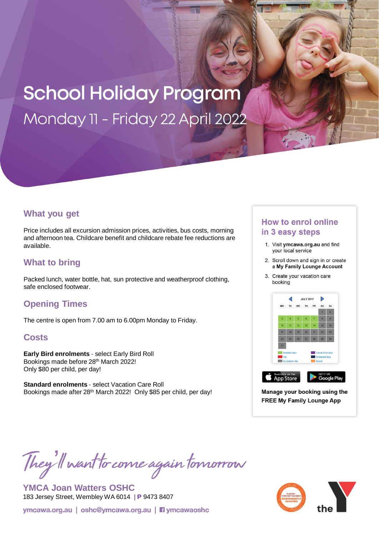# **School Holiday Program** Monday 11 - Friday 22 April 2022

### **What you get**

Price includes all excursion admission prices, activities, bus costs, morning and afternoon tea. Childcare benefit and childcare rebate fee reductions are available.

## **What to bring**

Packed lunch, water bottle, hat, sun protective and weatherproof clothing, safe enclosed footwear.

## **Opening Times**

The centre is open from 7.00 am to 6.00pm Monday to Friday.

### **Costs**

**Early Bird enrolments -** select Early Bird Roll Bookings made before 28<sup>th</sup> March 2022! Only \$80 per child, per day!

**Standard enrolments -** select Vacation Care Roll Bookings made after 28<sup>th</sup> March 2022! Only \$85 per child, per day!

## **How to enrol online** in 3 easy steps

- 1. Visit ymcawa.org.au and find your local service
- 2. Scroll down and sign in or create a My Family Lounge Account
- 3. Create your vacation care booking



Manage your booking using the **FREE My Family Lounge App** 

They'll want to come again tomorrow

**YMCA Joan Watters OSHC** 183 Jersey Street, Wembley WA 6014 **| P** 9473 8407